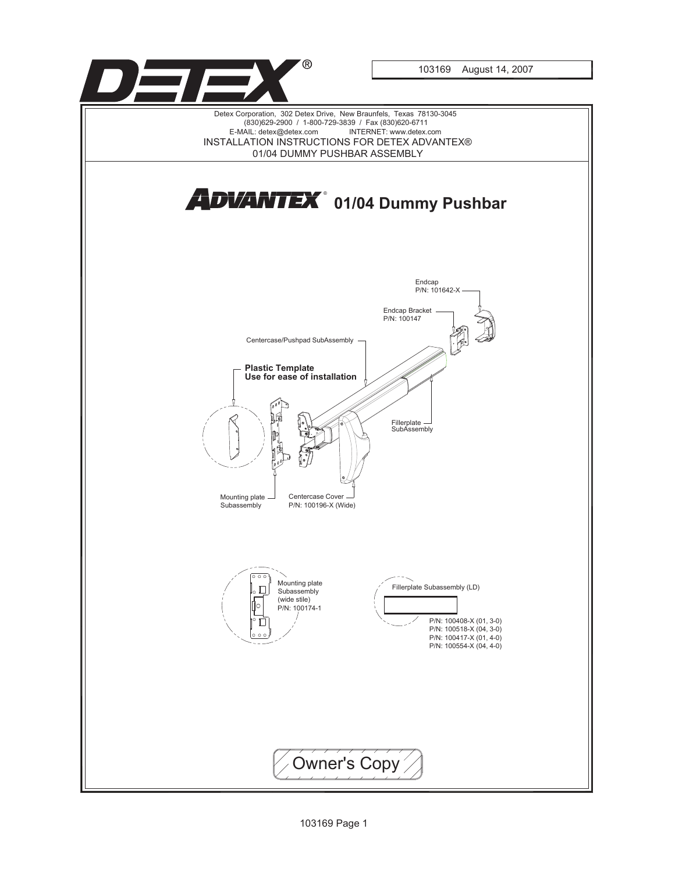

103169 Page 1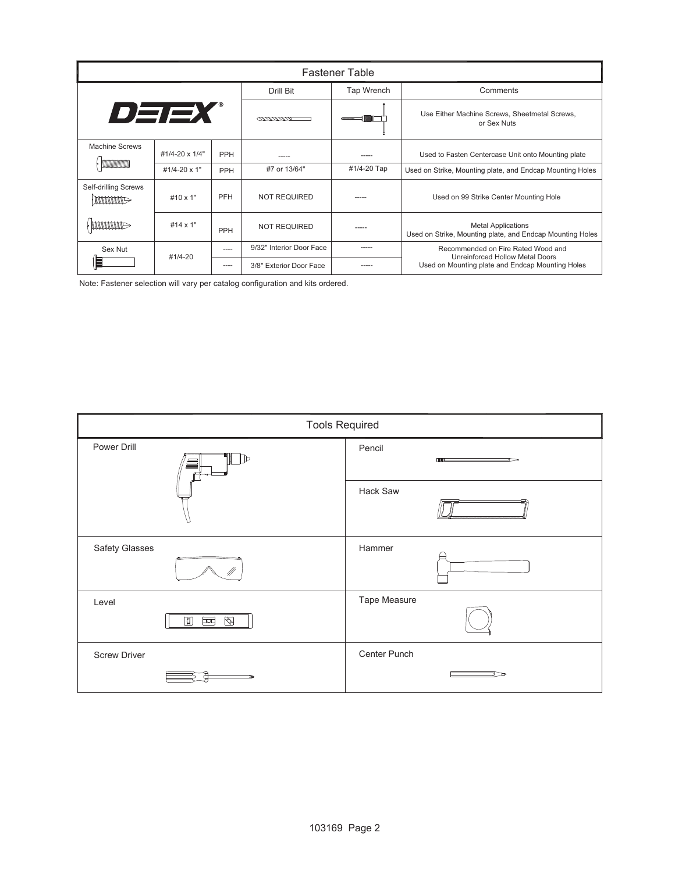| <b>Fastener Table</b> |                 |       |                          |             |                                                                                                                           |  |  |
|-----------------------|-----------------|-------|--------------------------|-------------|---------------------------------------------------------------------------------------------------------------------------|--|--|
| DEEX                  |                 |       | Drill Bit                | Tap Wrench  | Comments                                                                                                                  |  |  |
|                       |                 |       | <u>COUNTINO</u>          |             | Use Either Machine Screws, Sheetmetal Screws,<br>or Sex Nuts                                                              |  |  |
| <b>Machine Screws</b> | #1/4-20 x 1/4"  | PPH   |                          |             | Used to Fasten Centercase Unit onto Mounting plate                                                                        |  |  |
|                       | #1/4-20 x 1"    | PPH   | #7 or 13/64"             | #1/4-20 Tap | Used on Strike, Mounting plate, and Endcap Mounting Holes                                                                 |  |  |
| Self-drilling Screws  | #10 $\times$ 1" | PFH   | <b>NOT REQUIRED</b>      |             | Used on 99 Strike Center Mounting Hole                                                                                    |  |  |
|                       | #14 $\times$ 1" | PPH   | <b>NOT REQUIRED</b>      | ----        | <b>Metal Applications</b><br>Used on Strike, Mounting plate, and Endcap Mounting Holes                                    |  |  |
| Sex Nut               | #1/4-20         | ----- | 9/32" Interior Door Face |             | Recommended on Fire Rated Wood and<br>Unreinforced Hollow Metal Doors<br>Used on Mounting plate and Endcap Mounting Holes |  |  |
|                       |                 | ----  | 3/8" Exterior Door Face  |             |                                                                                                                           |  |  |

Note: Fastener selection will vary per catalog configuration and kits ordered.

| <b>Tools Required</b>             |                        |  |  |  |  |
|-----------------------------------|------------------------|--|--|--|--|
| Power Drill<br>♪<br>$\equiv$      | Pencil<br>$\mathbf{m}$ |  |  |  |  |
|                                   | Hack Saw               |  |  |  |  |
| Safety Glasses                    | Hammer                 |  |  |  |  |
| Level<br>▯<br>$\otimes$<br>$\sim$ | Tape Measure           |  |  |  |  |
| <b>Screw Driver</b>               | Center Punch           |  |  |  |  |
|                                   |                        |  |  |  |  |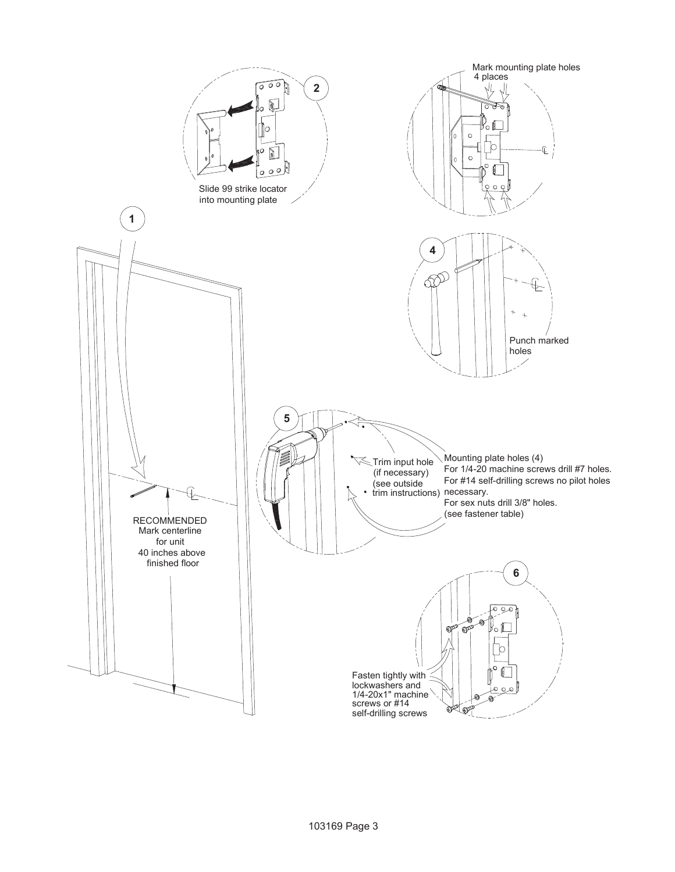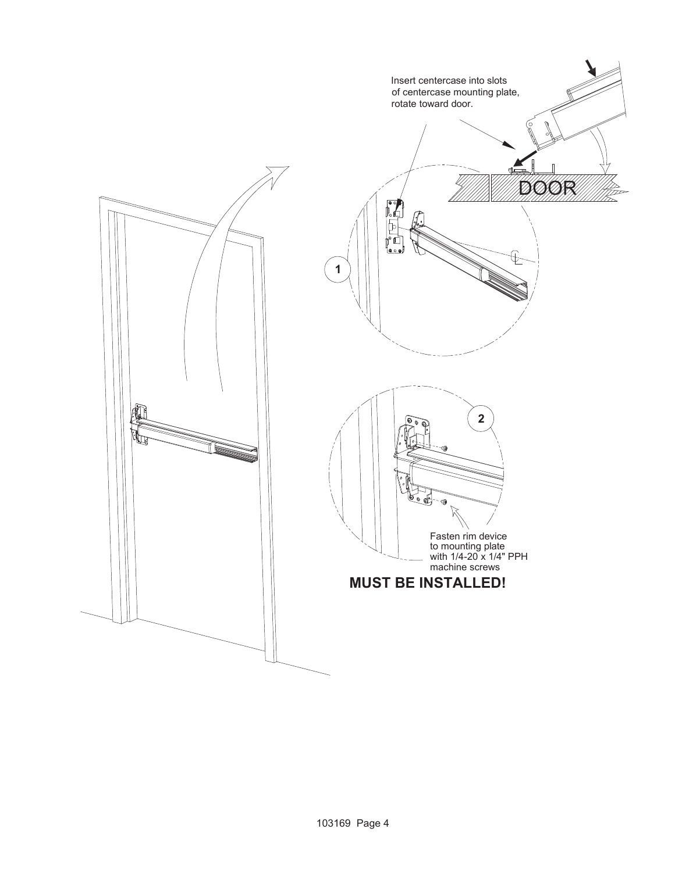